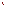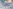

### Servicizing Industrial Chemical Use with Chemical Management

# Chemico Days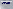#### What is Chemical Management ?

- **Outsourcing of non-core chemical management functions to chemical management experts.**
	- **Takes chemical management responsibility away from**   $\mathbb{R}^n$ **chemical producers motivated to use and sell more chemicals**
	- **Creates a financial incentive to reduce chemical usage**
	- **Aligns goals of the chemical "supplier" with the goals of the corporation and the community**

**Primary goals of a chemical management services program**

- **Reduce chemical usage and waste**
- **Reduce Health, Safety, & Environmental risk**
- **Reduce the total life cycle cost of chemicals**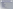### What is Chemical Management ?

- **Established business practice in many industries for over 15 years**
	- **Automotive**
	- **Aerospace**
	- **Defense Contractors**
	- **High Tech Electronics** П
	- **Manufacturing** п
	- **Transportation** П
	- **Power Generation**
	- **Research and Development** П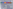# Chemical Management Services



**Chemical Management provides services across the full life cycle of chemical use**

- **Procurement services**
- **Inventory Management**
- **Automatic Replenishment**
- **Point of use Distribution**
- **Waste Collection**
- **Consolidation of Materials / Suppliers**

**Chemical Process Optimization**

- **JIT Delivery**
- **Chemical Tracking**
- **MSDS Management**
- **Custom Reporting**
- **Environmental Data Management**
- **Water/Wastewater Management** 4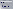### Chemical Management Benefits

#### **Reduced Chemical Usage and Waste**

- **Usage documentation, trend analysis, and benchmarking to identify opportunities for improvement**
- **Product selection based on cost effective performance**
- **Recycling programs (on-site and off-site)**
- **Elimination of unauthorized use**
- **Improved tracking of time sensitive materials to reduce waste**
- **Inventory sharing between departments**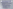### Chemical Management Benefits

#### **Reduced Life Cycle Costs**

- **Purchase price reduction thru leveraged buy**
- **Reduce transactional costs with consolidated monthly invoice**
- **Reduce inventory management costs**
- **Consolidation of materials / suppliers to**
	- **Reduce cost of MSDS management, reporting,**   $\blacksquare$ **inventory management**
	- **Reduce inventory volume / carrying costs**
	- **Opportunity for bulk / returnable containers**
	- **Increase supplier service**
	- **Reduce transportation costs**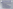### Chemical Management Benefits

#### **Reduced Health, Safety & Environmental Exposure**

- **Improved data for environmental reporting**
- **MSDS management** п
- **Container management** m.
- **Decreased chemical inventory**
- **Chemical storage area monitoring**
- **Safer / environmentally friendly materials**
- **Assistance with permitting and reporting**
- **Management of materials of interest**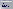### Successful Chemical Management

**Successful integration of chemical management into a manufacturing operations is a result of:** 

- **A paradigm shift in the approach to supplying chemicals**
- **Focus on total cost**
- **Sound business relationship**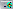# 1. Paradigm Shift

**Before Chemical Management**

- **Supplier is remote from the Plant Floor**
- **Supplier has little accountability for the total process**
- **Supplier profits are based on sales**

**Operator (Plant)**

Maintenan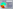# 1. Paradigm Shift



#### **After Chemical Management**

- **Supplier has on-site presence**
- **Supplier is an on-site team member**
- **Supplier is responsible for**  F. **the performance of major process chemicals and the entire chemical system**
	- **Supplier profits are based on effective management of the entire system**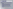# 1. Paradigm Shift

**Successful implementation of chemical management requires:**

- **Management support of the program from the top down**
- **An environment that accepts change – no improvement is possible without change**
- **Cooperation between plant and supplier personnel**
- **Joint development and maintenance of the program**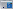# 2. Focus on Total Cost

**Successful Chemical Management requires a focus on the total cost and risk of chemical use, not just purchase price.** 

#### **Other factors include:**

- **Employee safety**
- **Environmental protection**
- **Compliance risk**
- **Waste Disposal costs**
- **Resources**
- **Quality**
- **Productivity**

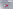## 2. Focus on Total Cost

**Studies have shown that the actual cost of using chemicals is from 2 to 5 times the purchase price.**

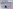# 2. Focus on Total Cost

**Focusing on specific cost drivers may reduce costs in one area, and not affect the total cost.**

Total Cost



**Increased maintenance costs**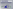

#### **Successful chemical management goes "outside the box" to cut the total cost**

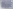# 3. Sound Business Relationship

- **Defined and documented expectations for all parties**
- **Understanding of the Business Case and documentation of baseline costs**
- **Mutually beneficial cost structure designed to achieve common goals**
- **Ongoing communication and defined metrics to measure success**